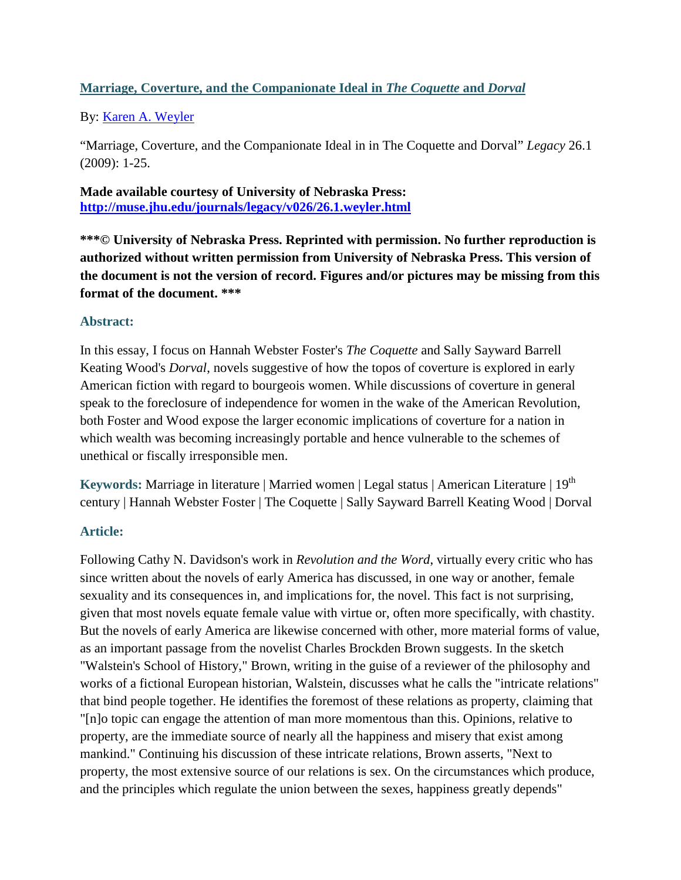## **Marriage, Coverture, and the Companionate Ideal in** *The Coquette* **and** *Dorval*

By: [Karen A. Weyler](https://libres.uncg.edu/ir/uncg/clist.aspx?id=637)

"Marriage, Coverture, and the Companionate Ideal in in The Coquette and Dorval" *Legacy* 26.1 (2009): 1-25.

**Made available courtesy of University of Nebraska Press: <http://muse.jhu.edu/journals/legacy/v026/26.1.weyler.html>**

**\*\*\*© University of Nebraska Press. Reprinted with permission. No further reproduction is authorized without written permission from University of Nebraska Press. This version of the document is not the version of record. Figures and/or pictures may be missing from this format of the document. \*\*\***

### **Abstract:**

In this essay, I focus on Hannah Webster Foster's *The Coquette* and Sally Sayward Barrell Keating Wood's *Dorval*, novels suggestive of how the topos of coverture is explored in early American fiction with regard to bourgeois women. While discussions of coverture in general speak to the foreclosure of independence for women in the wake of the American Revolution, both Foster and Wood expose the larger economic implications of coverture for a nation in which wealth was becoming increasingly portable and hence vulnerable to the schemes of unethical or fiscally irresponsible men.

Keywords: Marriage in literature | Married women | Legal status | American Literature | 19<sup>th</sup> century | Hannah Webster Foster | The Coquette | Sally Sayward Barrell Keating Wood | Dorval

# **Article:**

Following Cathy N. Davidson's work in *Revolution and the Word*, virtually every critic who has since written about the novels of early America has discussed, in one way or another, female sexuality and its consequences in, and implications for, the novel. This fact is not surprising, given that most novels equate female value with virtue or, often more specifically, with chastity. But the novels of early America are likewise concerned with other, more material forms of value, as an important passage from the novelist Charles Brockden Brown suggests. In the sketch "Walstein's School of History," Brown, writing in the guise of a reviewer of the philosophy and works of a fictional European historian, Walstein, discusses what he calls the "intricate relations" that bind people together. He identifies the foremost of these relations as property, claiming that "[n]o topic can engage the attention of man more momentous than this. Opinions, relative to property, are the immediate source of nearly all the happiness and misery that exist among mankind." Continuing his discussion of these intricate relations, Brown asserts, "Next to property, the most extensive source of our relations is sex. On the circumstances which produce, and the principles which regulate the union between the sexes, happiness greatly depends"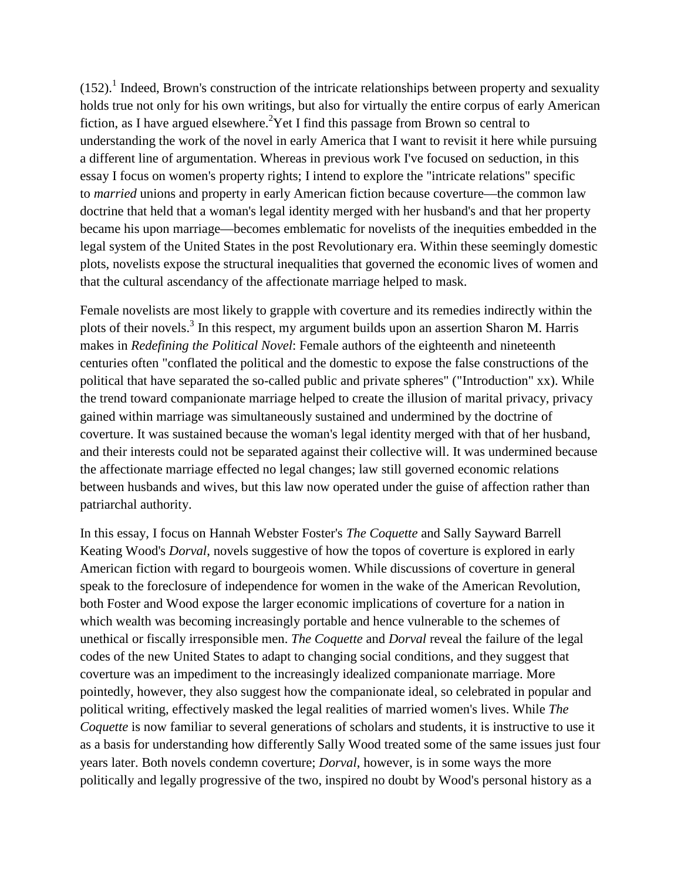$(152)$ .<sup>1</sup> Indeed, Brown's construction of the intricate relationships between property and sexuality holds true not only for his own writings, but also for virtually the entire corpus of early American fiction, as I have argued elsewhere.<sup>2</sup> Yet I find this passage from Brown so central to understanding the work of the novel in early America that I want to revisit it here while pursuing a different line of argumentation. Whereas in previous work I've focused on seduction, in this essay I focus on women's property rights; I intend to explore the "intricate relations" specific to *married* unions and property in early American fiction because coverture—the common law doctrine that held that a woman's legal identity merged with her husband's and that her property became his upon marriage—becomes emblematic for novelists of the inequities embedded in the legal system of the United States in the post Revolutionary era. Within these seemingly domestic plots, novelists expose the structural inequalities that governed the economic lives of women and that the cultural ascendancy of the affectionate marriage helped to mask.

Female novelists are most likely to grapple with coverture and its remedies indirectly within the plots of their novels.3 In this respect, my argument builds upon an assertion Sharon M. Harris makes in *Redefining the Political Novel*: Female authors of the eighteenth and nineteenth centuries often "conflated the political and the domestic to expose the false constructions of the political that have separated the so-called public and private spheres" ("Introduction" xx). While the trend toward companionate marriage helped to create the illusion of marital privacy, privacy gained within marriage was simultaneously sustained and undermined by the doctrine of coverture. It was sustained because the woman's legal identity merged with that of her husband, and their interests could not be separated against their collective will. It was undermined because the affectionate marriage effected no legal changes; law still governed economic relations between husbands and wives, but this law now operated under the guise of affection rather than patriarchal authority.

In this essay, I focus on Hannah Webster Foster's *The Coquette* and Sally Sayward Barrell Keating Wood's *Dorval*, novels suggestive of how the topos of coverture is explored in early American fiction with regard to bourgeois women. While discussions of coverture in general speak to the foreclosure of independence for women in the wake of the American Revolution, both Foster and Wood expose the larger economic implications of coverture for a nation in which wealth was becoming increasingly portable and hence vulnerable to the schemes of unethical or fiscally irresponsible men. *The Coquette* and *Dorval* reveal the failure of the legal codes of the new United States to adapt to changing social conditions, and they suggest that coverture was an impediment to the increasingly idealized companionate marriage. More pointedly, however, they also suggest how the companionate ideal, so celebrated in popular and political writing, effectively masked the legal realities of married women's lives. While *The Coquette* is now familiar to several generations of scholars and students, it is instructive to use it as a basis for understanding how differently Sally Wood treated some of the same issues just four years later. Both novels condemn coverture; *Dorval*, however, is in some ways the more politically and legally progressive of the two, inspired no doubt by Wood's personal history as a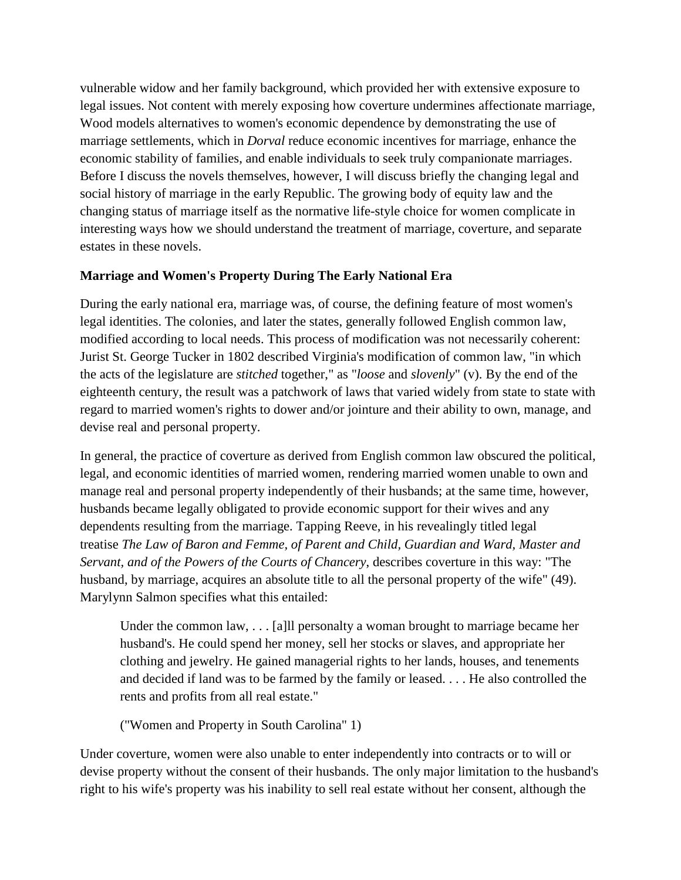vulnerable widow and her family background, which provided her with extensive exposure to legal issues. Not content with merely exposing how coverture undermines affectionate marriage, Wood models alternatives to women's economic dependence by demonstrating the use of marriage settlements, which in *Dorval* reduce economic incentives for marriage, enhance the economic stability of families, and enable individuals to seek truly companionate marriages. Before I discuss the novels themselves, however, I will discuss briefly the changing legal and social history of marriage in the early Republic. The growing body of equity law and the changing status of marriage itself as the normative life-style choice for women complicate in interesting ways how we should understand the treatment of marriage, coverture, and separate estates in these novels.

### **Marriage and Women's Property During The Early National Era**

During the early national era, marriage was, of course, the defining feature of most women's legal identities. The colonies, and later the states, generally followed English common law, modified according to local needs. This process of modification was not necessarily coherent: Jurist St. George Tucker in 1802 described Virginia's modification of common law, "in which the acts of the legislature are *stitched* together," as "*loose* and *slovenly*" (v). By the end of the eighteenth century, the result was a patchwork of laws that varied widely from state to state with regard to married women's rights to dower and/or jointure and their ability to own, manage, and devise real and personal property.

In general, the practice of coverture as derived from English common law obscured the political, legal, and economic identities of married women, rendering married women unable to own and manage real and personal property independently of their husbands; at the same time, however, husbands became legally obligated to provide economic support for their wives and any dependents resulting from the marriage. Tapping Reeve, in his revealingly titled legal treatise *The Law of Baron and Femme, of Parent and Child, Guardian and Ward, Master and Servant, and of the Powers of the Courts of Chancery*, describes coverture in this way: "The husband, by marriage, acquires an absolute title to all the personal property of the wife" (49). Marylynn Salmon specifies what this entailed:

Under the common law, . . . [a]ll personalty a woman brought to marriage became her husband's. He could spend her money, sell her stocks or slaves, and appropriate her clothing and jewelry. He gained managerial rights to her lands, houses, and tenements and decided if land was to be farmed by the family or leased. . . . He also controlled the rents and profits from all real estate."

("Women and Property in South Carolina" 1)

Under coverture, women were also unable to enter independently into contracts or to will or devise property without the consent of their husbands. The only major limitation to the husband's right to his wife's property was his inability to sell real estate without her consent, although the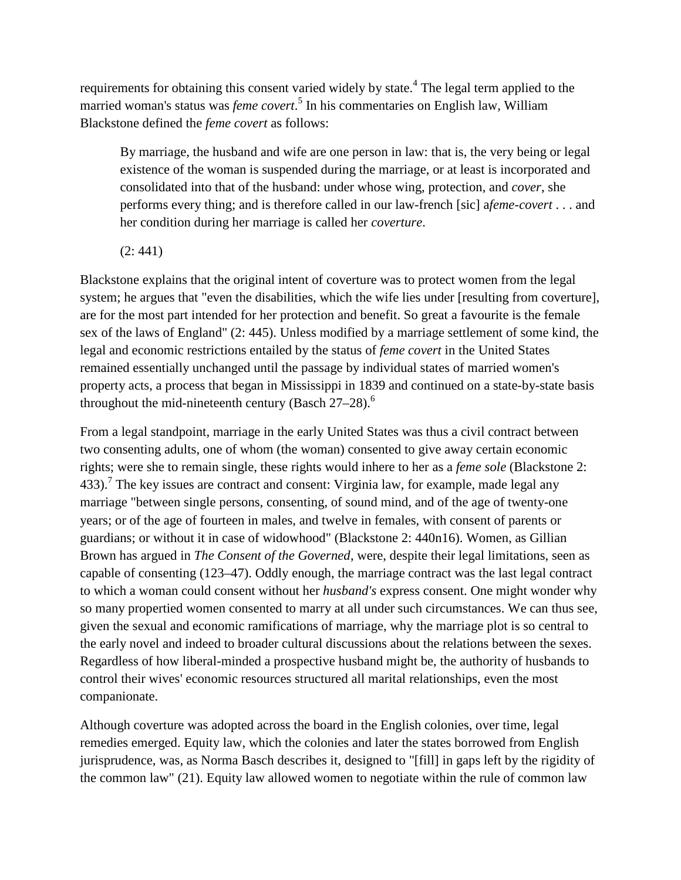requirements for obtaining this consent varied widely by state.<sup>4</sup> The legal term applied to the married woman's status was *feme covert*. <sup>5</sup> In his commentaries on English law, William Blackstone defined the *feme covert* as follows:

By marriage, the husband and wife are one person in law: that is, the very being or legal existence of the woman is suspended during the marriage, or at least is incorporated and consolidated into that of the husband: under whose wing, protection, and *cover*, she performs every thing; and is therefore called in our law-french [sic] a*feme-covert* . . . and her condition during her marriage is called her *coverture*.

(2: 441)

Blackstone explains that the original intent of coverture was to protect women from the legal system; he argues that "even the disabilities, which the wife lies under [resulting from coverture], are for the most part intended for her protection and benefit. So great a favourite is the female sex of the laws of England" (2: 445). Unless modified by a marriage settlement of some kind, the legal and economic restrictions entailed by the status of *feme covert* in the United States remained essentially unchanged until the passage by individual states of married women's property acts, a process that began in Mississippi in 1839 and continued on a state-by-state basis throughout the mid-nineteenth century (Basch  $27-28$ ).<sup>6</sup>

From a legal standpoint, marriage in the early United States was thus a civil contract between two consenting adults, one of whom (the woman) consented to give away certain economic rights; were she to remain single, these rights would inhere to her as a *feme sole* (Blackstone 2: 433).<sup>7</sup> The key issues are contract and consent: Virginia law, for example, made legal any marriage "between single persons, consenting, of sound mind, and of the age of twenty-one years; or of the age of fourteen in males, and twelve in females, with consent of parents or guardians; or without it in case of widowhood" (Blackstone 2: 440n16). Women, as Gillian Brown has argued in *The Consent of the Governed*, were, despite their legal limitations, seen as capable of consenting (123–47). Oddly enough, the marriage contract was the last legal contract to which a woman could consent without her *husband's* express consent. One might wonder why so many propertied women consented to marry at all under such circumstances. We can thus see, given the sexual and economic ramifications of marriage, why the marriage plot is so central to the early novel and indeed to broader cultural discussions about the relations between the sexes. Regardless of how liberal-minded a prospective husband might be, the authority of husbands to control their wives' economic resources structured all marital relationships, even the most companionate.

Although coverture was adopted across the board in the English colonies, over time, legal remedies emerged. Equity law, which the colonies and later the states borrowed from English jurisprudence, was, as Norma Basch describes it, designed to "[fill] in gaps left by the rigidity of the common law" (21). Equity law allowed women to negotiate within the rule of common law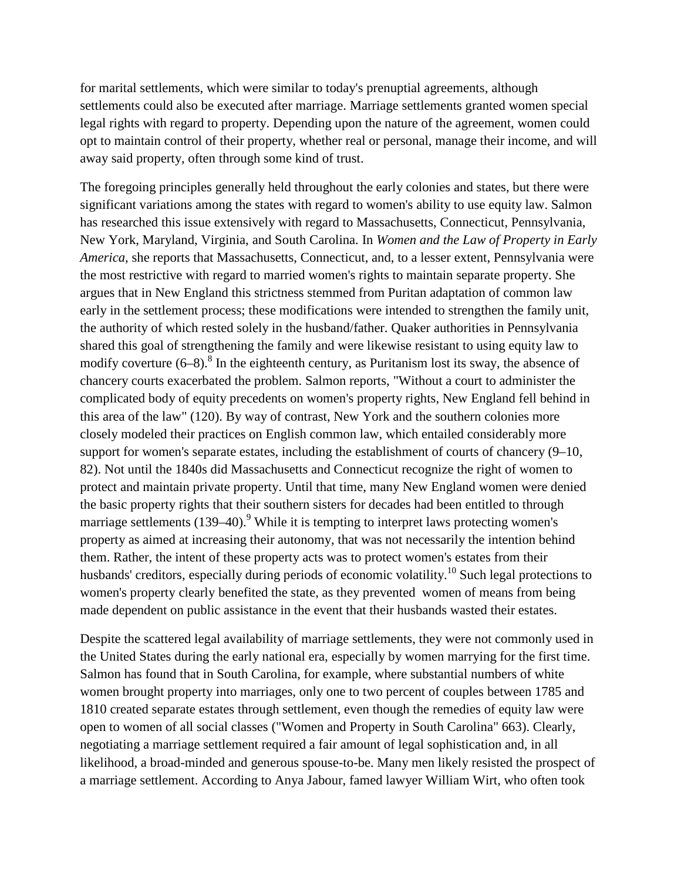for marital settlements, which were similar to today's prenuptial agreements, although settlements could also be executed after marriage. Marriage settlements granted women special legal rights with regard to property. Depending upon the nature of the agreement, women could opt to maintain control of their property, whether real or personal, manage their income, and will away said property, often through some kind of trust.

The foregoing principles generally held throughout the early colonies and states, but there were significant variations among the states with regard to women's ability to use equity law. Salmon has researched this issue extensively with regard to Massachusetts, Connecticut, Pennsylvania, New York, Maryland, Virginia, and South Carolina. In *Women and the Law of Property in Early America*, she reports that Massachusetts, Connecticut, and, to a lesser extent, Pennsylvania were the most restrictive with regard to married women's rights to maintain separate property. She argues that in New England this strictness stemmed from Puritan adaptation of common law early in the settlement process; these modifications were intended to strengthen the family unit, the authority of which rested solely in the husband/father. Quaker authorities in Pennsylvania shared this goal of strengthening the family and were likewise resistant to using equity law to modify coverture  $(6-8)$ .<sup>8</sup> In the eighteenth century, as Puritanism lost its sway, the absence of chancery courts exacerbated the problem. Salmon reports, "Without a court to administer the complicated body of equity precedents on women's property rights, New England fell behind in this area of the law" (120). By way of contrast, New York and the southern colonies more closely modeled their practices on English common law, which entailed considerably more support for women's separate estates, including the establishment of courts of chancery (9–10, 82). Not until the 1840s did Massachusetts and Connecticut recognize the right of women to protect and maintain private property. Until that time, many New England women were denied the basic property rights that their southern sisters for decades had been entitled to through marriage settlements  $(139-40)$ .<sup>9</sup> While it is tempting to interpret laws protecting women's property as aimed at increasing their autonomy, that was not necessarily the intention behind them. Rather, the intent of these property acts was to protect women's estates from their husbands' creditors, especially during periods of economic volatility.<sup>10</sup> Such legal protections to women's property clearly benefited the state, as they prevented women of means from being made dependent on public assistance in the event that their husbands wasted their estates.

Despite the scattered legal availability of marriage settlements, they were not commonly used in the United States during the early national era, especially by women marrying for the first time. Salmon has found that in South Carolina, for example, where substantial numbers of white women brought property into marriages, only one to two percent of couples between 1785 and 1810 created separate estates through settlement, even though the remedies of equity law were open to women of all social classes ("Women and Property in South Carolina" 663). Clearly, negotiating a marriage settlement required a fair amount of legal sophistication and, in all likelihood, a broad-minded and generous spouse-to-be. Many men likely resisted the prospect of a marriage settlement. According to Anya Jabour, famed lawyer William Wirt, who often took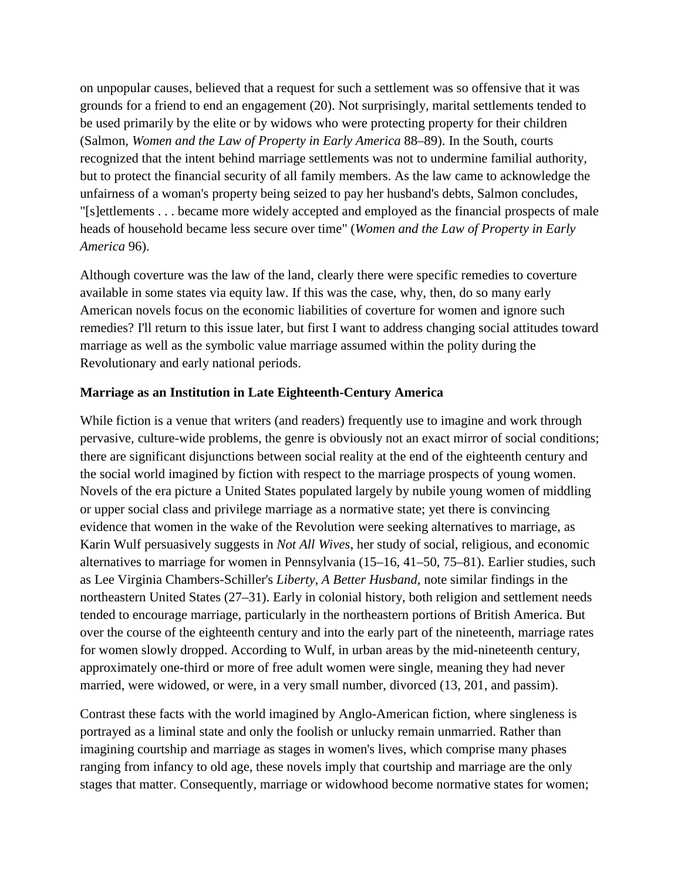on unpopular causes, believed that a request for such a settlement was so offensive that it was grounds for a friend to end an engagement (20). Not surprisingly, marital settlements tended to be used primarily by the elite or by widows who were protecting property for their children (Salmon, *Women and the Law of Property in Early America* 88–89). In the South, courts recognized that the intent behind marriage settlements was not to undermine familial authority, but to protect the financial security of all family members. As the law came to acknowledge the unfairness of a woman's property being seized to pay her husband's debts, Salmon concludes, "[s]ettlements . . . became more widely accepted and employed as the financial prospects of male heads of household became less secure over time" (*Women and the Law of Property in Early America* 96).

Although coverture was the law of the land, clearly there were specific remedies to coverture available in some states via equity law. If this was the case, why, then, do so many early American novels focus on the economic liabilities of coverture for women and ignore such remedies? I'll return to this issue later, but first I want to address changing social attitudes toward marriage as well as the symbolic value marriage assumed within the polity during the Revolutionary and early national periods.

#### **Marriage as an Institution in Late Eighteenth-Century America**

While fiction is a venue that writers (and readers) frequently use to imagine and work through pervasive, culture-wide problems, the genre is obviously not an exact mirror of social conditions; there are significant disjunctions between social reality at the end of the eighteenth century and the social world imagined by fiction with respect to the marriage prospects of young women. Novels of the era picture a United States populated largely by nubile young women of middling or upper social class and privilege marriage as a normative state; yet there is convincing evidence that women in the wake of the Revolution were seeking alternatives to marriage, as Karin Wulf persuasively suggests in *Not All Wives*, her study of social, religious, and economic alternatives to marriage for women in Pennsylvania (15–16, 41–50, 75–81). Earlier studies, such as Lee Virginia Chambers-Schiller's *Liberty, A Better Husband*, note similar findings in the northeastern United States (27–31). Early in colonial history, both religion and settlement needs tended to encourage marriage, particularly in the northeastern portions of British America. But over the course of the eighteenth century and into the early part of the nineteenth, marriage rates for women slowly dropped. According to Wulf, in urban areas by the mid-nineteenth century, approximately one-third or more of free adult women were single, meaning they had never married, were widowed, or were, in a very small number, divorced (13, 201, and passim).

Contrast these facts with the world imagined by Anglo-American fiction, where singleness is portrayed as a liminal state and only the foolish or unlucky remain unmarried. Rather than imagining courtship and marriage as stages in women's lives, which comprise many phases ranging from infancy to old age, these novels imply that courtship and marriage are the only stages that matter. Consequently, marriage or widowhood become normative states for women;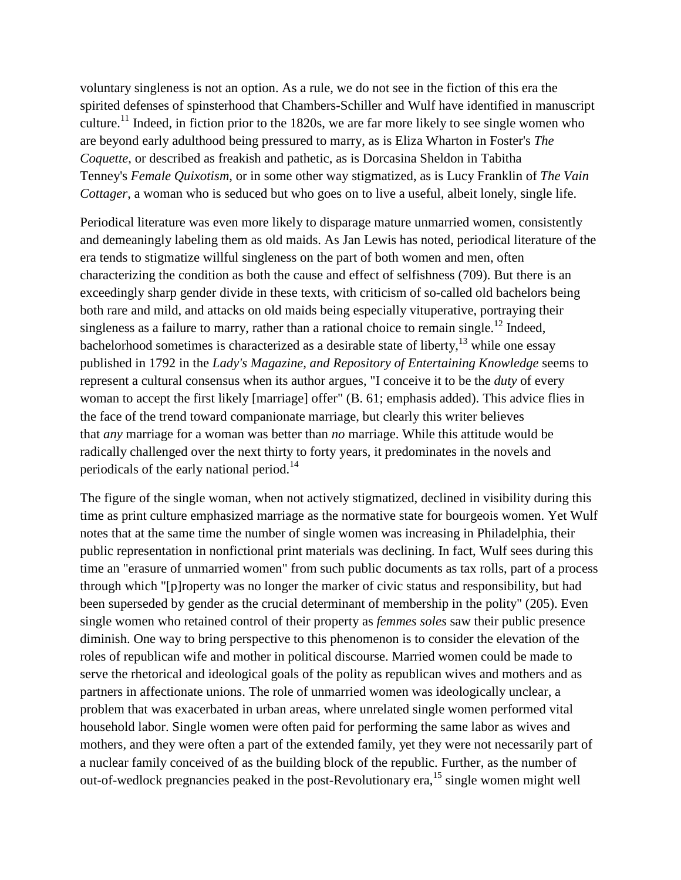voluntary singleness is not an option. As a rule, we do not see in the fiction of this era the spirited defenses of spinsterhood that Chambers-Schiller and Wulf have identified in manuscript culture.<sup>11</sup> Indeed, in fiction prior to the 1820s, we are far more likely to see single women who are beyond early adulthood being pressured to marry, as is Eliza Wharton in Foster's *The Coquette*, or described as freakish and pathetic, as is Dorcasina Sheldon in Tabitha Tenney's *Female Quixotism*, or in some other way stigmatized, as is Lucy Franklin of *The Vain Cottager*, a woman who is seduced but who goes on to live a useful, albeit lonely, single life.

Periodical literature was even more likely to disparage mature unmarried women, consistently and demeaningly labeling them as old maids. As Jan Lewis has noted, periodical literature of the era tends to stigmatize willful singleness on the part of both women and men, often characterizing the condition as both the cause and effect of selfishness (709). But there is an exceedingly sharp gender divide in these texts, with criticism of so-called old bachelors being both rare and mild, and attacks on old maids being especially vituperative, portraying their singleness as a failure to marry, rather than a rational choice to remain single.<sup>12</sup> Indeed, bachelorhood sometimes is characterized as a desirable state of liberty, $13$  while one essay published in 1792 in the *Lady's Magazine, and Repository of Entertaining Knowledge* seems to represent a cultural consensus when its author argues, "I conceive it to be the *duty* of every woman to accept the first likely [marriage] offer" (B. 61; emphasis added). This advice flies in the face of the trend toward companionate marriage, but clearly this writer believes that *any* marriage for a woman was better than *no* marriage. While this attitude would be radically challenged over the next thirty to forty years, it predominates in the novels and periodicals of the early national period.<sup>14</sup>

The figure of the single woman, when not actively stigmatized, declined in visibility during this time as print culture emphasized marriage as the normative state for bourgeois women. Yet Wulf notes that at the same time the number of single women was increasing in Philadelphia, their public representation in nonfictional print materials was declining. In fact, Wulf sees during this time an "erasure of unmarried women" from such public documents as tax rolls, part of a process through which "[p]roperty was no longer the marker of civic status and responsibility, but had been superseded by gender as the crucial determinant of membership in the polity" (205). Even single women who retained control of their property as *femmes soles* saw their public presence diminish. One way to bring perspective to this phenomenon is to consider the elevation of the roles of republican wife and mother in political discourse. Married women could be made to serve the rhetorical and ideological goals of the polity as republican wives and mothers and as partners in affectionate unions. The role of unmarried women was ideologically unclear, a problem that was exacerbated in urban areas, where unrelated single women performed vital household labor. Single women were often paid for performing the same labor as wives and mothers, and they were often a part of the extended family, yet they were not necessarily part of a nuclear family conceived of as the building block of the republic. Further, as the number of out-of-wedlock pregnancies peaked in the post-Revolutionary era,  $^{15}$  single women might well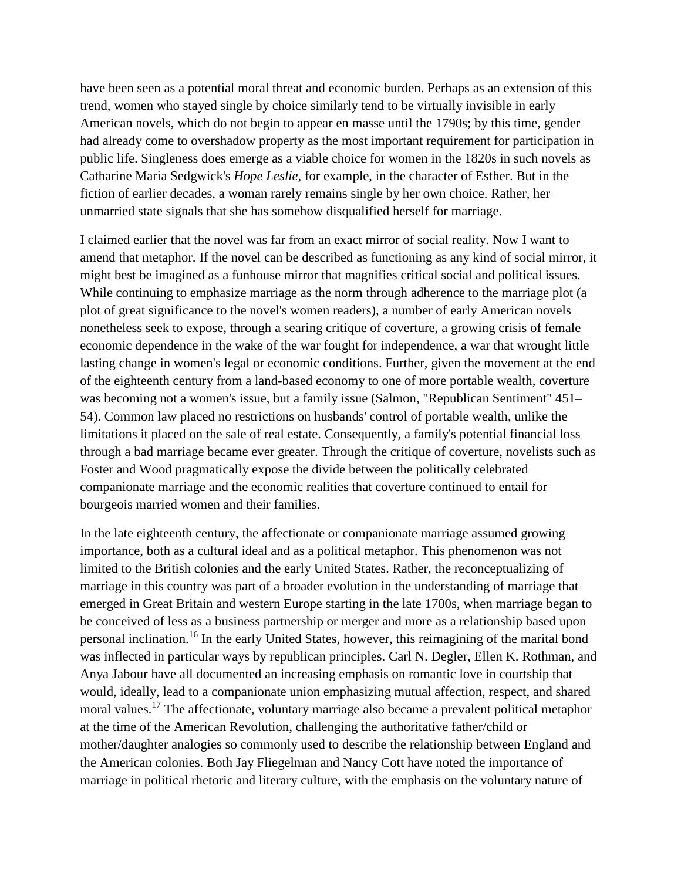have been seen as a potential moral threat and economic burden. Perhaps as an extension of this trend, women who stayed single by choice similarly tend to be virtually invisible in early American novels, which do not begin to appear en masse until the 1790s; by this time, gender had already come to overshadow property as the most important requirement for participation in public life. Singleness does emerge as a viable choice for women in the 1820s in such novels as Catharine Maria Sedgwick's *Hope Leslie*, for example, in the character of Esther. But in the fiction of earlier decades, a woman rarely remains single by her own choice. Rather, her unmarried state signals that she has somehow disqualified herself for marriage.

I claimed earlier that the novel was far from an exact mirror of social reality. Now I want to amend that metaphor. If the novel can be described as functioning as any kind of social mirror, it might best be imagined as a funhouse mirror that magnifies critical social and political issues. While continuing to emphasize marriage as the norm through adherence to the marriage plot (a plot of great significance to the novel's women readers), a number of early American novels nonetheless seek to expose, through a searing critique of coverture, a growing crisis of female economic dependence in the wake of the war fought for independence, a war that wrought little lasting change in women's legal or economic conditions. Further, given the movement at the end of the eighteenth century from a land-based economy to one of more portable wealth, coverture was becoming not a women's issue, but a family issue (Salmon, "Republican Sentiment" 451– 54). Common law placed no restrictions on husbands' control of portable wealth, unlike the limitations it placed on the sale of real estate. Consequently, a family's potential financial loss through a bad marriage became ever greater. Through the critique of coverture, novelists such as Foster and Wood pragmatically expose the divide between the politically celebrated companionate marriage and the economic realities that coverture continued to entail for bourgeois married women and their families.

In the late eighteenth century, the affectionate or companionate marriage assumed growing importance, both as a cultural ideal and as a political metaphor. This phenomenon was not limited to the British colonies and the early United States. Rather, the reconceptualizing of marriage in this country was part of a broader evolution in the understanding of marriage that emerged in Great Britain and western Europe starting in the late 1700s, when marriage began to be conceived of less as a business partnership or merger and more as a relationship based upon personal inclination.<sup>16</sup> In the early United States, however, this reimagining of the marital bond was inflected in particular ways by republican principles. Carl N. Degler, Ellen K. Rothman, and Anya Jabour have all documented an increasing emphasis on romantic love in courtship that would, ideally, lead to a companionate union emphasizing mutual affection, respect, and shared moral values.<sup>17</sup> The affectionate, voluntary marriage also became a prevalent political metaphor at the time of the American Revolution, challenging the authoritative father/child or mother/daughter analogies so commonly used to describe the relationship between England and the American colonies. Both Jay Fliegelman and Nancy Cott have noted the importance of marriage in political rhetoric and literary culture, with the emphasis on the voluntary nature of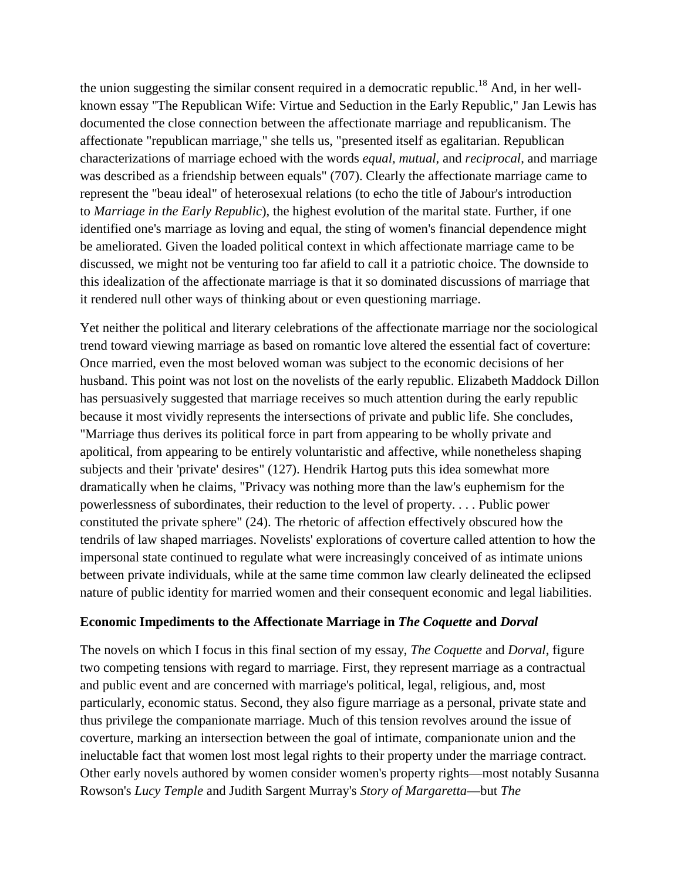the union suggesting the similar consent required in a democratic republic.<sup>18</sup> And, in her wellknown essay "The Republican Wife: Virtue and Seduction in the Early Republic," Jan Lewis has documented the close connection between the affectionate marriage and republicanism. The affectionate "republican marriage," she tells us, "presented itself as egalitarian. Republican characterizations of marriage echoed with the words *equal, mutual*, and *reciprocal*, and marriage was described as a friendship between equals" (707). Clearly the affectionate marriage came to represent the "beau ideal" of heterosexual relations (to echo the title of Jabour's introduction to *Marriage in the Early Republic*), the highest evolution of the marital state. Further, if one identified one's marriage as loving and equal, the sting of women's financial dependence might be ameliorated. Given the loaded political context in which affectionate marriage came to be discussed, we might not be venturing too far afield to call it a patriotic choice. The downside to this idealization of the affectionate marriage is that it so dominated discussions of marriage that it rendered null other ways of thinking about or even questioning marriage.

Yet neither the political and literary celebrations of the affectionate marriage nor the sociological trend toward viewing marriage as based on romantic love altered the essential fact of coverture: Once married, even the most beloved woman was subject to the economic decisions of her husband. This point was not lost on the novelists of the early republic. Elizabeth Maddock Dillon has persuasively suggested that marriage receives so much attention during the early republic because it most vividly represents the intersections of private and public life. She concludes, "Marriage thus derives its political force in part from appearing to be wholly private and apolitical, from appearing to be entirely voluntaristic and affective, while nonetheless shaping subjects and their 'private' desires" (127). Hendrik Hartog puts this idea somewhat more dramatically when he claims, "Privacy was nothing more than the law's euphemism for the powerlessness of subordinates, their reduction to the level of property. . . . Public power constituted the private sphere" (24). The rhetoric of affection effectively obscured how the tendrils of law shaped marriages. Novelists' explorations of coverture called attention to how the impersonal state continued to regulate what were increasingly conceived of as intimate unions between private individuals, while at the same time common law clearly delineated the eclipsed nature of public identity for married women and their consequent economic and legal liabilities.

### **Economic Impediments to the Affectionate Marriage in** *The Coquette* **and** *Dorval*

The novels on which I focus in this final section of my essay, *The Coquette* and *Dorval*, figure two competing tensions with regard to marriage. First, they represent marriage as a contractual and public event and are concerned with marriage's political, legal, religious, and, most particularly, economic status. Second, they also figure marriage as a personal, private state and thus privilege the companionate marriage. Much of this tension revolves around the issue of coverture, marking an intersection between the goal of intimate, companionate union and the ineluctable fact that women lost most legal rights to their property under the marriage contract. Other early novels authored by women consider women's property rights—most notably Susanna Rowson's *Lucy Temple* and Judith Sargent Murray's *Story of Margaretta*—but *The*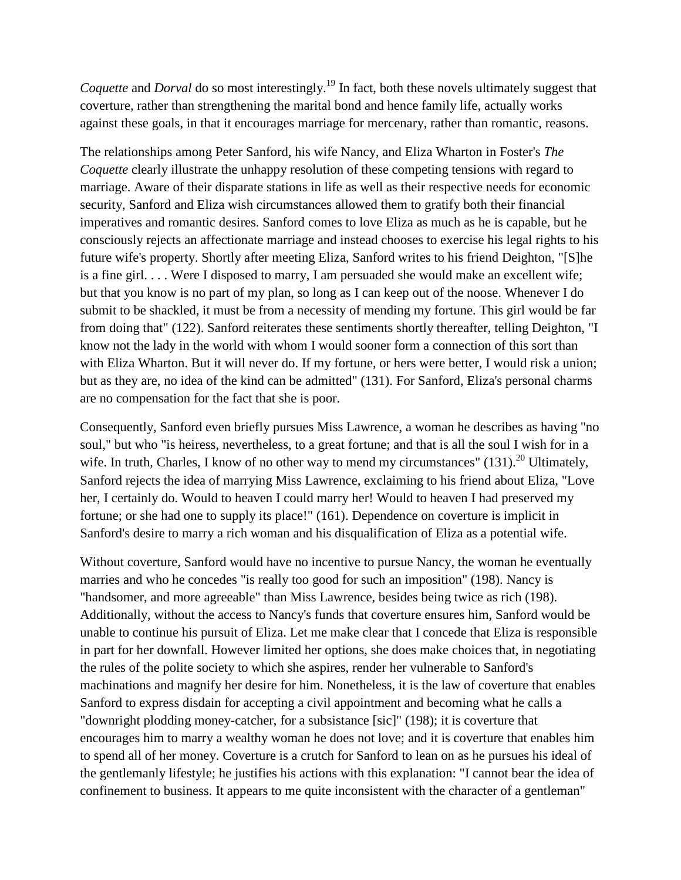*Coquette* and *Dorval* do so most interestingly.<sup>19</sup> In fact, both these novels ultimately suggest that coverture, rather than strengthening the marital bond and hence family life, actually works against these goals, in that it encourages marriage for mercenary, rather than romantic, reasons.

The relationships among Peter Sanford, his wife Nancy, and Eliza Wharton in Foster's *The Coquette* clearly illustrate the unhappy resolution of these competing tensions with regard to marriage. Aware of their disparate stations in life as well as their respective needs for economic security, Sanford and Eliza wish circumstances allowed them to gratify both their financial imperatives and romantic desires. Sanford comes to love Eliza as much as he is capable, but he consciously rejects an affectionate marriage and instead chooses to exercise his legal rights to his future wife's property. Shortly after meeting Eliza, Sanford writes to his friend Deighton, "[S]he is a fine girl. . . . Were I disposed to marry, I am persuaded she would make an excellent wife; but that you know is no part of my plan, so long as I can keep out of the noose. Whenever I do submit to be shackled, it must be from a necessity of mending my fortune. This girl would be far from doing that" (122). Sanford reiterates these sentiments shortly thereafter, telling Deighton, "I know not the lady in the world with whom I would sooner form a connection of this sort than with Eliza Wharton. But it will never do. If my fortune, or hers were better, I would risk a union; but as they are, no idea of the kind can be admitted" (131). For Sanford, Eliza's personal charms are no compensation for the fact that she is poor.

Consequently, Sanford even briefly pursues Miss Lawrence, a woman he describes as having "no soul," but who "is heiress, nevertheless, to a great fortune; and that is all the soul I wish for in a wife. In truth, Charles, I know of no other way to mend my circumstances"  $(131).^{20}$  Ultimately, Sanford rejects the idea of marrying Miss Lawrence, exclaiming to his friend about Eliza, "Love her, I certainly do. Would to heaven I could marry her! Would to heaven I had preserved my fortune; or she had one to supply its place!" (161). Dependence on coverture is implicit in Sanford's desire to marry a rich woman and his disqualification of Eliza as a potential wife.

Without coverture, Sanford would have no incentive to pursue Nancy, the woman he eventually marries and who he concedes "is really too good for such an imposition" (198). Nancy is "handsomer, and more agreeable" than Miss Lawrence, besides being twice as rich (198). Additionally, without the access to Nancy's funds that coverture ensures him, Sanford would be unable to continue his pursuit of Eliza. Let me make clear that I concede that Eliza is responsible in part for her downfall. However limited her options, she does make choices that, in negotiating the rules of the polite society to which she aspires, render her vulnerable to Sanford's machinations and magnify her desire for him. Nonetheless, it is the law of coverture that enables Sanford to express disdain for accepting a civil appointment and becoming what he calls a "downright plodding money-catcher, for a subsistance [sic]" (198); it is coverture that encourages him to marry a wealthy woman he does not love; and it is coverture that enables him to spend all of her money. Coverture is a crutch for Sanford to lean on as he pursues his ideal of the gentlemanly lifestyle; he justifies his actions with this explanation: "I cannot bear the idea of confinement to business. It appears to me quite inconsistent with the character of a gentleman"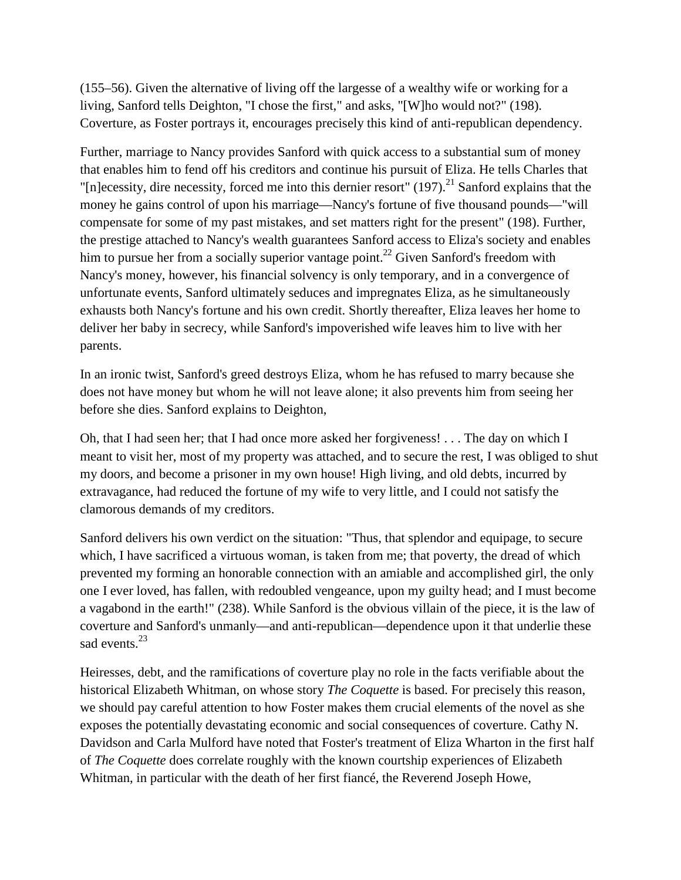(155–56). Given the alternative of living off the largesse of a wealthy wife or working for a living, Sanford tells Deighton, "I chose the first," and asks, "[W]ho would not?" (198). Coverture, as Foster portrays it, encourages precisely this kind of anti-republican dependency.

Further, marriage to Nancy provides Sanford with quick access to a substantial sum of money that enables him to fend off his creditors and continue his pursuit of Eliza. He tells Charles that "[n]ecessity, dire necessity, forced me into this dernier resort" (197).<sup>21</sup> Sanford explains that the money he gains control of upon his marriage—Nancy's fortune of five thousand pounds—"will compensate for some of my past mistakes, and set matters right for the present" (198). Further, the prestige attached to Nancy's wealth guarantees Sanford access to Eliza's society and enables him to pursue her from a socially superior vantage point.<sup>22</sup> Given Sanford's freedom with Nancy's money, however, his financial solvency is only temporary, and in a convergence of unfortunate events, Sanford ultimately seduces and impregnates Eliza, as he simultaneously exhausts both Nancy's fortune and his own credit. Shortly thereafter, Eliza leaves her home to deliver her baby in secrecy, while Sanford's impoverished wife leaves him to live with her parents.

In an ironic twist, Sanford's greed destroys Eliza, whom he has refused to marry because she does not have money but whom he will not leave alone; it also prevents him from seeing her before she dies. Sanford explains to Deighton,

Oh, that I had seen her; that I had once more asked her forgiveness! . . . The day on which I meant to visit her, most of my property was attached, and to secure the rest, I was obliged to shut my doors, and become a prisoner in my own house! High living, and old debts, incurred by extravagance, had reduced the fortune of my wife to very little, and I could not satisfy the clamorous demands of my creditors.

Sanford delivers his own verdict on the situation: "Thus, that splendor and equipage, to secure which, I have sacrificed a virtuous woman, is taken from me; that poverty, the dread of which prevented my forming an honorable connection with an amiable and accomplished girl, the only one I ever loved, has fallen, with redoubled vengeance, upon my guilty head; and I must become a vagabond in the earth!" (238). While Sanford is the obvious villain of the piece, it is the law of coverture and Sanford's unmanly—and anti-republican—dependence upon it that underlie these sad events.<sup>23</sup>

Heiresses, debt, and the ramifications of coverture play no role in the facts verifiable about the historical Elizabeth Whitman, on whose story *The Coquette* is based. For precisely this reason, we should pay careful attention to how Foster makes them crucial elements of the novel as she exposes the potentially devastating economic and social consequences of coverture. Cathy N. Davidson and Carla Mulford have noted that Foster's treatment of Eliza Wharton in the first half of *The Coquette* does correlate roughly with the known courtship experiences of Elizabeth Whitman, in particular with the death of her first fiancé, the Reverend Joseph Howe,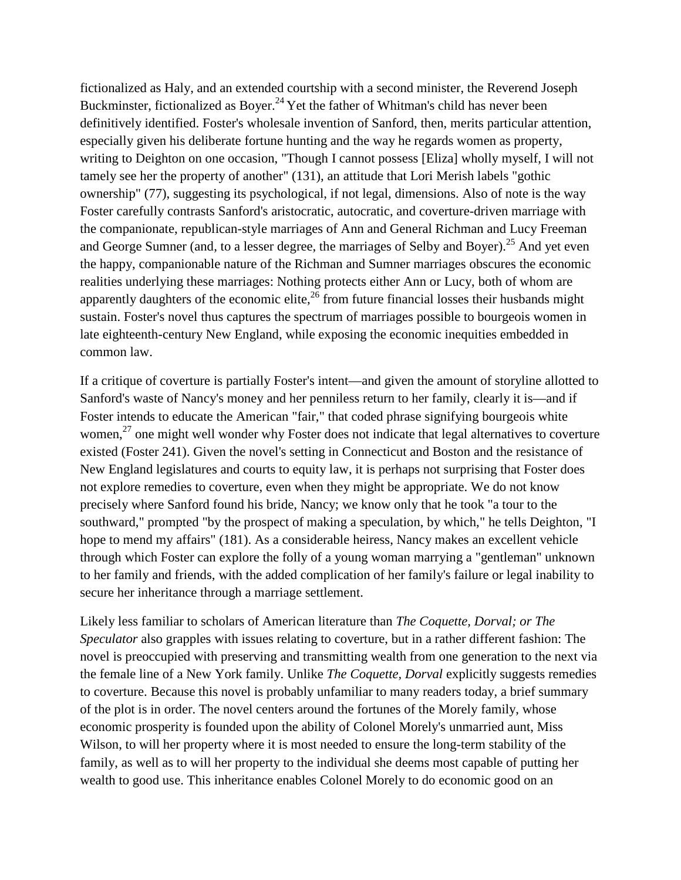fictionalized as Haly, and an extended courtship with a second minister, the Reverend Joseph Buckminster, fictionalized as Boyer.<sup>24</sup> Yet the father of Whitman's child has never been definitively identified. Foster's wholesale invention of Sanford, then, merits particular attention, especially given his deliberate fortune hunting and the way he regards women as property, writing to Deighton on one occasion, "Though I cannot possess [Eliza] wholly myself, I will not tamely see her the property of another" (131), an attitude that Lori Merish labels "gothic ownership" (77), suggesting its psychological, if not legal, dimensions. Also of note is the way Foster carefully contrasts Sanford's aristocratic, autocratic, and coverture-driven marriage with the companionate, republican-style marriages of Ann and General Richman and Lucy Freeman and George Sumner (and, to a lesser degree, the marriages of Selby and Boyer).<sup>25</sup> And yet even the happy, companionable nature of the Richman and Sumner marriages obscures the economic realities underlying these marriages: Nothing protects either Ann or Lucy, both of whom are apparently daughters of the economic elite, $^{26}$  from future financial losses their husbands might sustain. Foster's novel thus captures the spectrum of marriages possible to bourgeois women in late eighteenth-century New England, while exposing the economic inequities embedded in common law.

If a critique of coverture is partially Foster's intent—and given the amount of storyline allotted to Sanford's waste of Nancy's money and her penniless return to her family, clearly it is—and if Foster intends to educate the American "fair," that coded phrase signifying bourgeois white women, $^{27}$  one might well wonder why Foster does not indicate that legal alternatives to coverture existed (Foster 241). Given the novel's setting in Connecticut and Boston and the resistance of New England legislatures and courts to equity law, it is perhaps not surprising that Foster does not explore remedies to coverture, even when they might be appropriate. We do not know precisely where Sanford found his bride, Nancy; we know only that he took "a tour to the southward," prompted "by the prospect of making a speculation, by which," he tells Deighton, "I hope to mend my affairs" (181). As a considerable heiress, Nancy makes an excellent vehicle through which Foster can explore the folly of a young woman marrying a "gentleman" unknown to her family and friends, with the added complication of her family's failure or legal inability to secure her inheritance through a marriage settlement.

Likely less familiar to scholars of American literature than *The Coquette, Dorval; or The Speculator* also grapples with issues relating to coverture, but in a rather different fashion: The novel is preoccupied with preserving and transmitting wealth from one generation to the next via the female line of a New York family. Unlike *The Coquette, Dorval* explicitly suggests remedies to coverture. Because this novel is probably unfamiliar to many readers today, a brief summary of the plot is in order. The novel centers around the fortunes of the Morely family, whose economic prosperity is founded upon the ability of Colonel Morely's unmarried aunt, Miss Wilson, to will her property where it is most needed to ensure the long-term stability of the family, as well as to will her property to the individual she deems most capable of putting her wealth to good use. This inheritance enables Colonel Morely to do economic good on an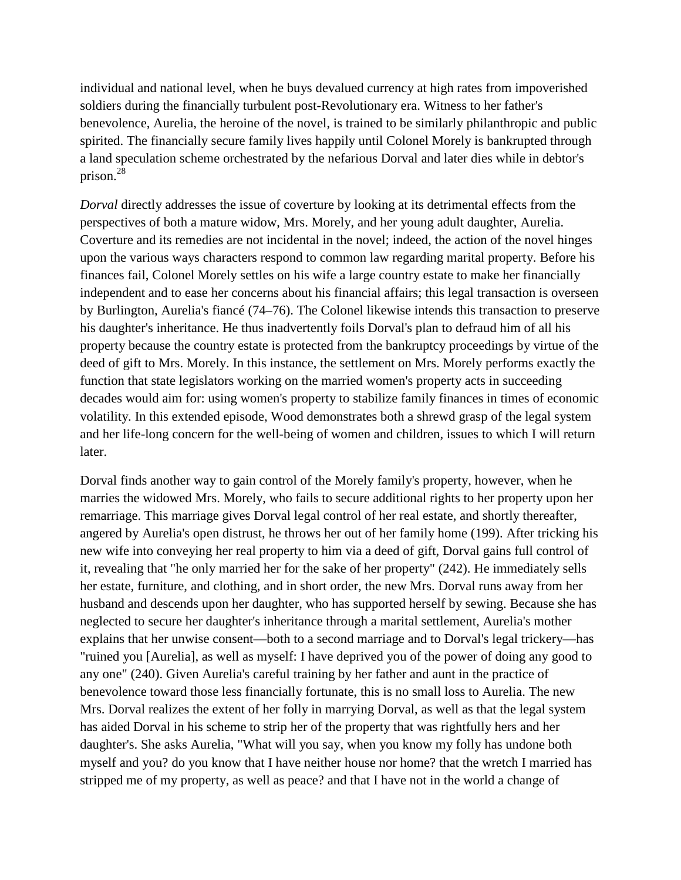individual and national level, when he buys devalued currency at high rates from impoverished soldiers during the financially turbulent post-Revolutionary era. Witness to her father's benevolence, Aurelia, the heroine of the novel, is trained to be similarly philanthropic and public spirited. The financially secure family lives happily until Colonel Morely is bankrupted through a land speculation scheme orchestrated by the nefarious Dorval and later dies while in debtor's prison.28

*Dorval* directly addresses the issue of coverture by looking at its detrimental effects from the perspectives of both a mature widow, Mrs. Morely, and her young adult daughter, Aurelia. Coverture and its remedies are not incidental in the novel; indeed, the action of the novel hinges upon the various ways characters respond to common law regarding marital property. Before his finances fail, Colonel Morely settles on his wife a large country estate to make her financially independent and to ease her concerns about his financial affairs; this legal transaction is overseen by Burlington, Aurelia's fiancé (74–76). The Colonel likewise intends this transaction to preserve his daughter's inheritance. He thus inadvertently foils Dorval's plan to defraud him of all his property because the country estate is protected from the bankruptcy proceedings by virtue of the deed of gift to Mrs. Morely. In this instance, the settlement on Mrs. Morely performs exactly the function that state legislators working on the married women's property acts in succeeding decades would aim for: using women's property to stabilize family finances in times of economic volatility. In this extended episode, Wood demonstrates both a shrewd grasp of the legal system and her life-long concern for the well-being of women and children, issues to which I will return later.

Dorval finds another way to gain control of the Morely family's property, however, when he marries the widowed Mrs. Morely, who fails to secure additional rights to her property upon her remarriage. This marriage gives Dorval legal control of her real estate, and shortly thereafter, angered by Aurelia's open distrust, he throws her out of her family home (199). After tricking his new wife into conveying her real property to him via a deed of gift, Dorval gains full control of it, revealing that "he only married her for the sake of her property" (242). He immediately sells her estate, furniture, and clothing, and in short order, the new Mrs. Dorval runs away from her husband and descends upon her daughter, who has supported herself by sewing. Because she has neglected to secure her daughter's inheritance through a marital settlement, Aurelia's mother explains that her unwise consent—both to a second marriage and to Dorval's legal trickery—has "ruined you [Aurelia], as well as myself: I have deprived you of the power of doing any good to any one" (240). Given Aurelia's careful training by her father and aunt in the practice of benevolence toward those less financially fortunate, this is no small loss to Aurelia. The new Mrs. Dorval realizes the extent of her folly in marrying Dorval, as well as that the legal system has aided Dorval in his scheme to strip her of the property that was rightfully hers and her daughter's. She asks Aurelia, "What will you say, when you know my folly has undone both myself and you? do you know that I have neither house nor home? that the wretch I married has stripped me of my property, as well as peace? and that I have not in the world a change of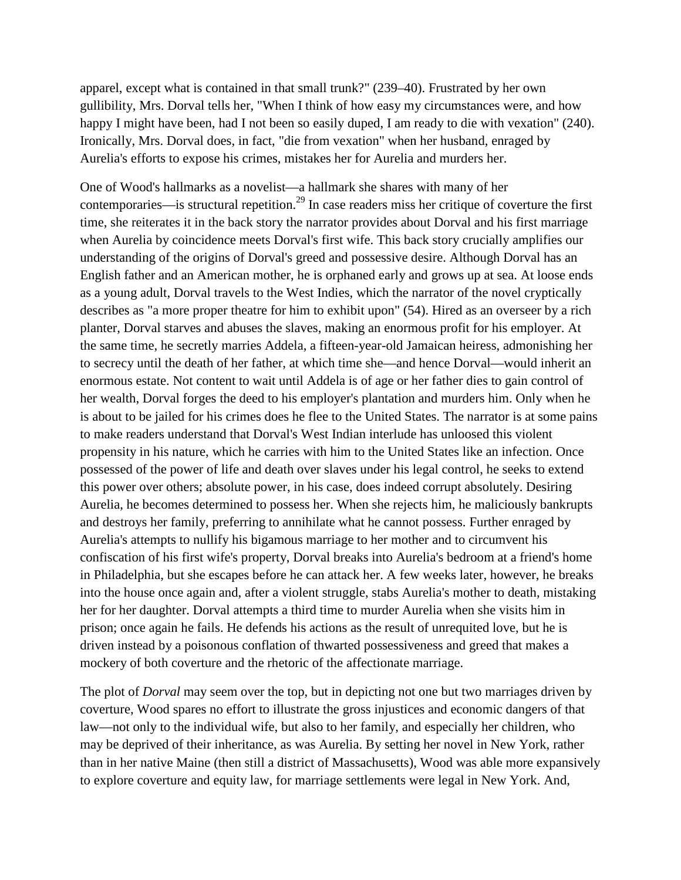apparel, except what is contained in that small trunk?" (239–40). Frustrated by her own gullibility, Mrs. Dorval tells her, "When I think of how easy my circumstances were, and how happy I might have been, had I not been so easily duped, I am ready to die with vexation" (240). Ironically, Mrs. Dorval does, in fact, "die from vexation" when her husband, enraged by Aurelia's efforts to expose his crimes, mistakes her for Aurelia and murders her.

One of Wood's hallmarks as a novelist—a hallmark she shares with many of her contemporaries—is structural repetition.<sup>29</sup> In case readers miss her critique of coverture the first time, she reiterates it in the back story the narrator provides about Dorval and his first marriage when Aurelia by coincidence meets Dorval's first wife. This back story crucially amplifies our understanding of the origins of Dorval's greed and possessive desire. Although Dorval has an English father and an American mother, he is orphaned early and grows up at sea. At loose ends as a young adult, Dorval travels to the West Indies, which the narrator of the novel cryptically describes as "a more proper theatre for him to exhibit upon" (54). Hired as an overseer by a rich planter, Dorval starves and abuses the slaves, making an enormous profit for his employer. At the same time, he secretly marries Addela, a fifteen-year-old Jamaican heiress, admonishing her to secrecy until the death of her father, at which time she—and hence Dorval—would inherit an enormous estate. Not content to wait until Addela is of age or her father dies to gain control of her wealth, Dorval forges the deed to his employer's plantation and murders him. Only when he is about to be jailed for his crimes does he flee to the United States. The narrator is at some pains to make readers understand that Dorval's West Indian interlude has unloosed this violent propensity in his nature, which he carries with him to the United States like an infection. Once possessed of the power of life and death over slaves under his legal control, he seeks to extend this power over others; absolute power, in his case, does indeed corrupt absolutely. Desiring Aurelia, he becomes determined to possess her. When she rejects him, he maliciously bankrupts and destroys her family, preferring to annihilate what he cannot possess. Further enraged by Aurelia's attempts to nullify his bigamous marriage to her mother and to circumvent his confiscation of his first wife's property, Dorval breaks into Aurelia's bedroom at a friend's home in Philadelphia, but she escapes before he can attack her. A few weeks later, however, he breaks into the house once again and, after a violent struggle, stabs Aurelia's mother to death, mistaking her for her daughter. Dorval attempts a third time to murder Aurelia when she visits him in prison; once again he fails. He defends his actions as the result of unrequited love, but he is driven instead by a poisonous conflation of thwarted possessiveness and greed that makes a mockery of both coverture and the rhetoric of the affectionate marriage.

The plot of *Dorval* may seem over the top, but in depicting not one but two marriages driven by coverture, Wood spares no effort to illustrate the gross injustices and economic dangers of that law—not only to the individual wife, but also to her family, and especially her children, who may be deprived of their inheritance, as was Aurelia. By setting her novel in New York, rather than in her native Maine (then still a district of Massachusetts), Wood was able more expansively to explore coverture and equity law, for marriage settlements were legal in New York. And,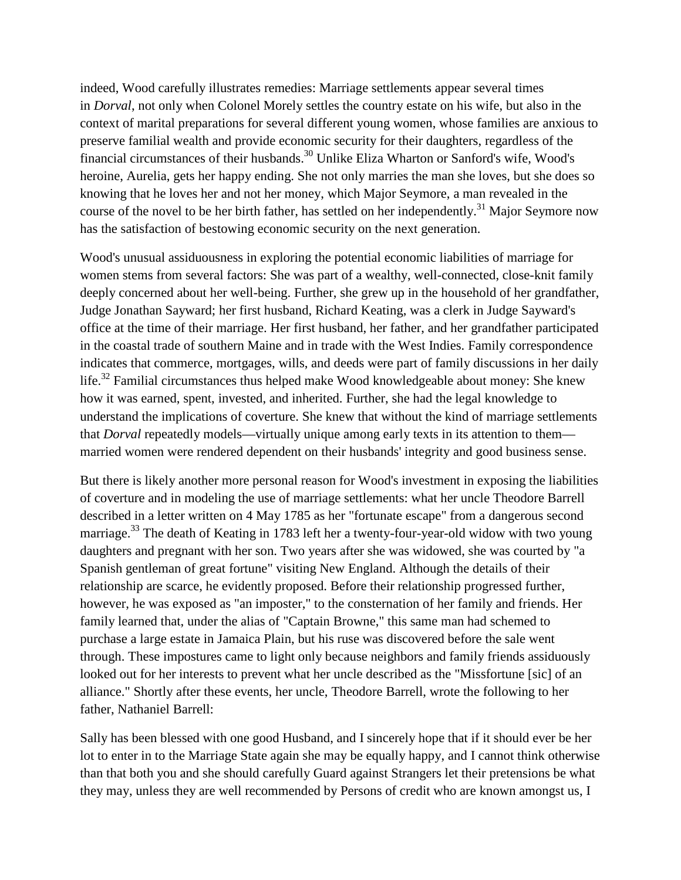indeed, Wood carefully illustrates remedies: Marriage settlements appear several times in *Dorval*, not only when Colonel Morely settles the country estate on his wife, but also in the context of marital preparations for several different young women, whose families are anxious to preserve familial wealth and provide economic security for their daughters, regardless of the financial circumstances of their husbands.<sup>30</sup> Unlike Eliza Wharton or Sanford's wife, Wood's heroine, Aurelia, gets her happy ending. She not only marries the man she loves, but she does so knowing that he loves her and not her money, which Major Seymore, a man revealed in the course of the novel to be her birth father, has settled on her independently.<sup>31</sup> Major Seymore now has the satisfaction of bestowing economic security on the next generation.

Wood's unusual assiduousness in exploring the potential economic liabilities of marriage for women stems from several factors: She was part of a wealthy, well-connected, close-knit family deeply concerned about her well-being. Further, she grew up in the household of her grandfather, Judge Jonathan Sayward; her first husband, Richard Keating, was a clerk in Judge Sayward's office at the time of their marriage. Her first husband, her father, and her grandfather participated in the coastal trade of southern Maine and in trade with the West Indies. Family correspondence indicates that commerce, mortgages, wills, and deeds were part of family discussions in her daily life.<sup>32</sup> Familial circumstances thus helped make Wood knowledgeable about money: She knew how it was earned, spent, invested, and inherited. Further, she had the legal knowledge to understand the implications of coverture. She knew that without the kind of marriage settlements that *Dorval* repeatedly models—virtually unique among early texts in its attention to them married women were rendered dependent on their husbands' integrity and good business sense.

But there is likely another more personal reason for Wood's investment in exposing the liabilities of coverture and in modeling the use of marriage settlements: what her uncle Theodore Barrell described in a letter written on 4 May 1785 as her "fortunate escape" from a dangerous second marriage.<sup>33</sup> The death of Keating in 1783 left her a twenty-four-year-old widow with two young daughters and pregnant with her son. Two years after she was widowed, she was courted by "a Spanish gentleman of great fortune" visiting New England. Although the details of their relationship are scarce, he evidently proposed. Before their relationship progressed further, however, he was exposed as "an imposter," to the consternation of her family and friends. Her family learned that, under the alias of "Captain Browne," this same man had schemed to purchase a large estate in Jamaica Plain, but his ruse was discovered before the sale went through. These impostures came to light only because neighbors and family friends assiduously looked out for her interests to prevent what her uncle described as the "Missfortune [sic] of an alliance." Shortly after these events, her uncle, Theodore Barrell, wrote the following to her father, Nathaniel Barrell:

Sally has been blessed with one good Husband, and I sincerely hope that if it should ever be her lot to enter in to the Marriage State again she may be equally happy, and I cannot think otherwise than that both you and she should carefully Guard against Strangers let their pretensions be what they may, unless they are well recommended by Persons of credit who are known amongst us, I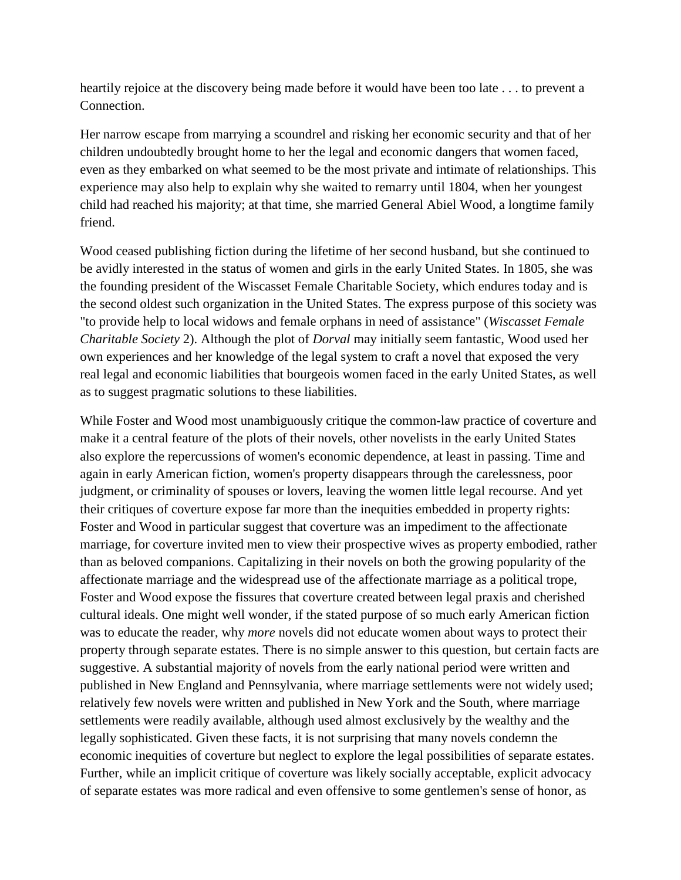heartily rejoice at the discovery being made before it would have been too late . . . to prevent a Connection.

Her narrow escape from marrying a scoundrel and risking her economic security and that of her children undoubtedly brought home to her the legal and economic dangers that women faced, even as they embarked on what seemed to be the most private and intimate of relationships. This experience may also help to explain why she waited to remarry until 1804, when her youngest child had reached his majority; at that time, she married General Abiel Wood, a longtime family friend.

Wood ceased publishing fiction during the lifetime of her second husband, but she continued to be avidly interested in the status of women and girls in the early United States. In 1805, she was the founding president of the Wiscasset Female Charitable Society, which endures today and is the second oldest such organization in the United States. The express purpose of this society was "to provide help to local widows and female orphans in need of assistance" (*Wiscasset Female Charitable Society* 2). Although the plot of *Dorval* may initially seem fantastic, Wood used her own experiences and her knowledge of the legal system to craft a novel that exposed the very real legal and economic liabilities that bourgeois women faced in the early United States, as well as to suggest pragmatic solutions to these liabilities.

While Foster and Wood most unambiguously critique the common-law practice of coverture and make it a central feature of the plots of their novels, other novelists in the early United States also explore the repercussions of women's economic dependence, at least in passing. Time and again in early American fiction, women's property disappears through the carelessness, poor judgment, or criminality of spouses or lovers, leaving the women little legal recourse. And yet their critiques of coverture expose far more than the inequities embedded in property rights: Foster and Wood in particular suggest that coverture was an impediment to the affectionate marriage, for coverture invited men to view their prospective wives as property embodied, rather than as beloved companions. Capitalizing in their novels on both the growing popularity of the affectionate marriage and the widespread use of the affectionate marriage as a political trope, Foster and Wood expose the fissures that coverture created between legal praxis and cherished cultural ideals. One might well wonder, if the stated purpose of so much early American fiction was to educate the reader, why *more* novels did not educate women about ways to protect their property through separate estates. There is no simple answer to this question, but certain facts are suggestive. A substantial majority of novels from the early national period were written and published in New England and Pennsylvania, where marriage settlements were not widely used; relatively few novels were written and published in New York and the South, where marriage settlements were readily available, although used almost exclusively by the wealthy and the legally sophisticated. Given these facts, it is not surprising that many novels condemn the economic inequities of coverture but neglect to explore the legal possibilities of separate estates. Further, while an implicit critique of coverture was likely socially acceptable, explicit advocacy of separate estates was more radical and even offensive to some gentlemen's sense of honor, as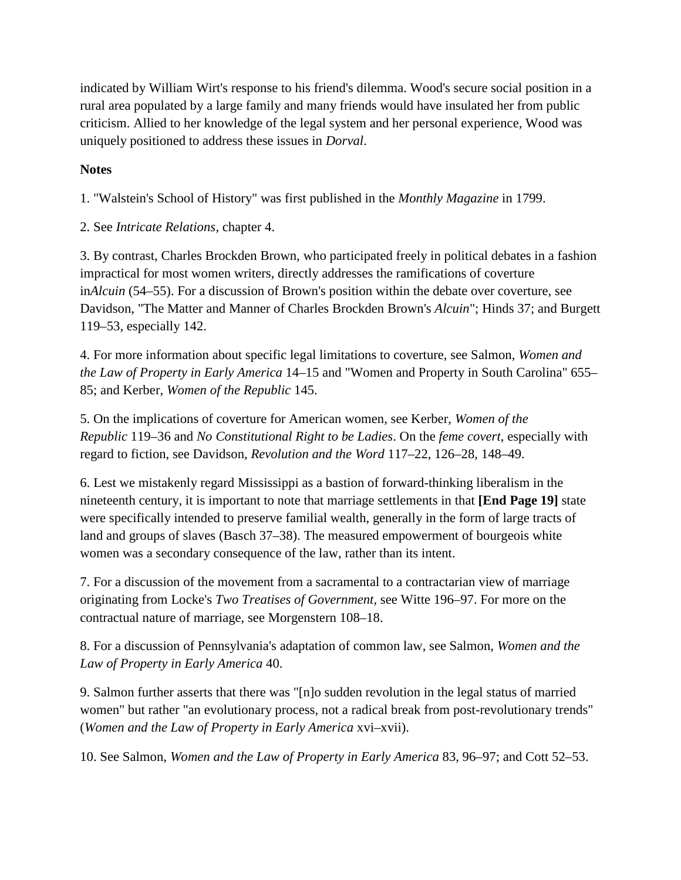indicated by William Wirt's response to his friend's dilemma. Wood's secure social position in a rural area populated by a large family and many friends would have insulated her from public criticism. Allied to her knowledge of the legal system and her personal experience, Wood was uniquely positioned to address these issues in *Dorval*.

## **Notes**

1. "Walstein's School of History" was first published in the *Monthly Magazine* in 1799.

2. See *Intricate Relations*, chapter 4.

3. By contrast, Charles Brockden Brown, who participated freely in political debates in a fashion impractical for most women writers, directly addresses the ramifications of coverture in*Alcuin* (54–55). For a discussion of Brown's position within the debate over coverture, see Davidson, "The Matter and Manner of Charles Brockden Brown's *Alcuin*"; Hinds 37; and Burgett 119–53, especially 142.

4. For more information about specific legal limitations to coverture, see Salmon, *Women and the Law of Property in Early America* 14–15 and "Women and Property in South Carolina" 655– 85; and Kerber, *Women of the Republic* 145.

5. On the implications of coverture for American women, see Kerber, *Women of the Republic* 119–36 and *No Constitutional Right to be Ladies*. On the *feme covert*, especially with regard to fiction, see Davidson, *Revolution and the Word* 117–22, 126–28, 148–49.

6. Lest we mistakenly regard Mississippi as a bastion of forward-thinking liberalism in the nineteenth century, it is important to note that marriage settlements in that **[End Page 19]** state were specifically intended to preserve familial wealth, generally in the form of large tracts of land and groups of slaves (Basch 37–38). The measured empowerment of bourgeois white women was a secondary consequence of the law, rather than its intent.

7. For a discussion of the movement from a sacramental to a contractarian view of marriage originating from Locke's *Two Treatises of Government*, see Witte 196–97. For more on the contractual nature of marriage, see Morgenstern 108–18.

8. For a discussion of Pennsylvania's adaptation of common law, see Salmon, *Women and the Law of Property in Early America* 40.

9. Salmon further asserts that there was "[n]o sudden revolution in the legal status of married women" but rather "an evolutionary process, not a radical break from post-revolutionary trends" (*Women and the Law of Property in Early America* xvi–xvii).

10. See Salmon, *Women and the Law of Property in Early America* 83, 96–97; and Cott 52–53.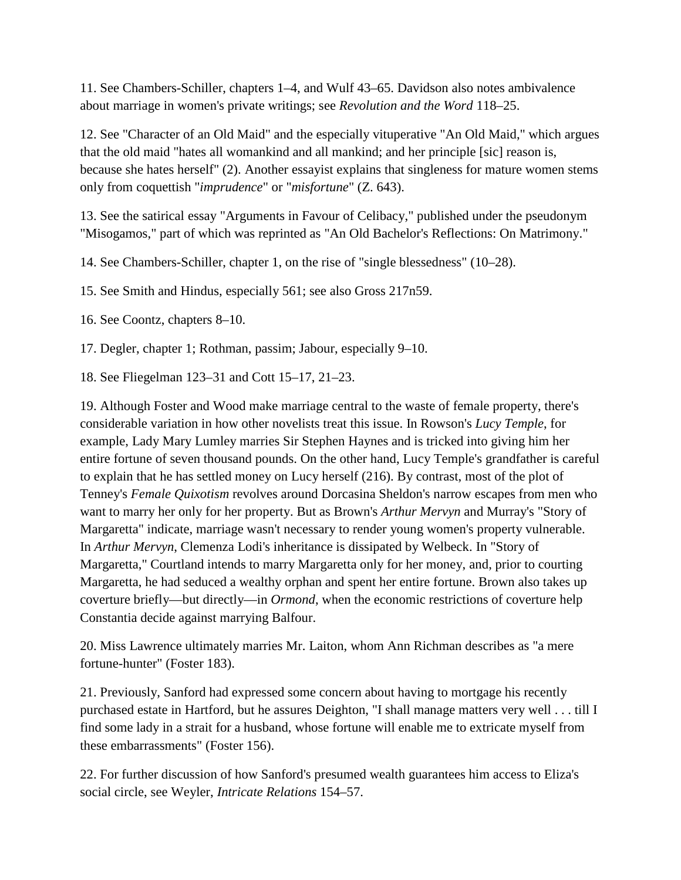11. See Chambers-Schiller, chapters 1–4, and Wulf 43–65. Davidson also notes ambivalence about marriage in women's private writings; see *Revolution and the Word* 118–25.

12. See "Character of an Old Maid" and the especially vituperative "An Old Maid," which argues that the old maid "hates all womankind and all mankind; and her principle [sic] reason is, because she hates herself" (2). Another essayist explains that singleness for mature women stems only from coquettish "*imprudence*" or "*misfortune*" (Z. 643).

13. See the satirical essay "Arguments in Favour of Celibacy," published under the pseudonym "Misogamos," part of which was reprinted as "An Old Bachelor's Reflections: On Matrimony."

14. See Chambers-Schiller, chapter 1, on the rise of "single blessedness" (10–28).

15. See Smith and Hindus, especially 561; see also Gross 217n59.

16. See Coontz, chapters 8–10.

17. Degler, chapter 1; Rothman, passim; Jabour, especially 9–10.

18. See Fliegelman 123–31 and Cott 15–17, 21–23.

19. Although Foster and Wood make marriage central to the waste of female property, there's considerable variation in how other novelists treat this issue. In Rowson's *Lucy Temple*, for example, Lady Mary Lumley marries Sir Stephen Haynes and is tricked into giving him her entire fortune of seven thousand pounds. On the other hand, Lucy Temple's grandfather is careful to explain that he has settled money on Lucy herself (216). By contrast, most of the plot of Tenney's *Female Quixotism* revolves around Dorcasina Sheldon's narrow escapes from men who want to marry her only for her property. But as Brown's *Arthur Mervyn* and Murray's "Story of Margaretta" indicate, marriage wasn't necessary to render young women's property vulnerable. In *Arthur Mervyn*, Clemenza Lodi's inheritance is dissipated by Welbeck. In "Story of Margaretta," Courtland intends to marry Margaretta only for her money, and, prior to courting Margaretta, he had seduced a wealthy orphan and spent her entire fortune. Brown also takes up coverture briefly—but directly—in *Ormond*, when the economic restrictions of coverture help Constantia decide against marrying Balfour.

20. Miss Lawrence ultimately marries Mr. Laiton, whom Ann Richman describes as "a mere fortune-hunter" (Foster 183).

21. Previously, Sanford had expressed some concern about having to mortgage his recently purchased estate in Hartford, but he assures Deighton, "I shall manage matters very well . . . till I find some lady in a strait for a husband, whose fortune will enable me to extricate myself from these embarrassments" (Foster 156).

22. For further discussion of how Sanford's presumed wealth guarantees him access to Eliza's social circle, see Weyler, *Intricate Relations* 154–57.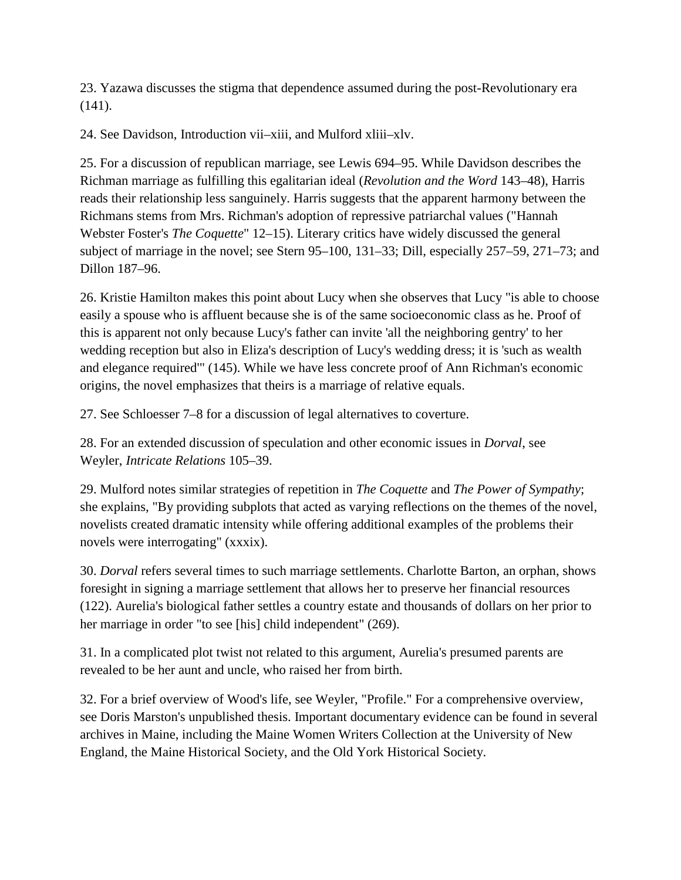23. Yazawa discusses the stigma that dependence assumed during the post-Revolutionary era (141).

24. See Davidson, Introduction vii–xiii, and Mulford xliii–xlv.

25. For a discussion of republican marriage, see Lewis 694–95. While Davidson describes the Richman marriage as fulfilling this egalitarian ideal (*Revolution and the Word* 143–48), Harris reads their relationship less sanguinely. Harris suggests that the apparent harmony between the Richmans stems from Mrs. Richman's adoption of repressive patriarchal values ("Hannah Webster Foster's *The Coquette*" 12–15). Literary critics have widely discussed the general subject of marriage in the novel; see Stern 95–100, 131–33; Dill, especially 257–59, 271–73; and Dillon 187–96.

26. Kristie Hamilton makes this point about Lucy when she observes that Lucy "is able to choose easily a spouse who is affluent because she is of the same socioeconomic class as he. Proof of this is apparent not only because Lucy's father can invite 'all the neighboring gentry' to her wedding reception but also in Eliza's description of Lucy's wedding dress; it is 'such as wealth and elegance required'" (145). While we have less concrete proof of Ann Richman's economic origins, the novel emphasizes that theirs is a marriage of relative equals.

27. See Schloesser 7–8 for a discussion of legal alternatives to coverture.

28. For an extended discussion of speculation and other economic issues in *Dorval*, see Weyler, *Intricate Relations* 105–39.

29. Mulford notes similar strategies of repetition in *The Coquette* and *The Power of Sympathy*; she explains, "By providing subplots that acted as varying reflections on the themes of the novel, novelists created dramatic intensity while offering additional examples of the problems their novels were interrogating" (xxxix).

30. *Dorval* refers several times to such marriage settlements. Charlotte Barton, an orphan, shows foresight in signing a marriage settlement that allows her to preserve her financial resources (122). Aurelia's biological father settles a country estate and thousands of dollars on her prior to her marriage in order "to see [his] child independent" (269).

31. In a complicated plot twist not related to this argument, Aurelia's presumed parents are revealed to be her aunt and uncle, who raised her from birth.

32. For a brief overview of Wood's life, see Weyler, "Profile." For a comprehensive overview, see Doris Marston's unpublished thesis. Important documentary evidence can be found in several archives in Maine, including the Maine Women Writers Collection at the University of New England, the Maine Historical Society, and the Old York Historical Society.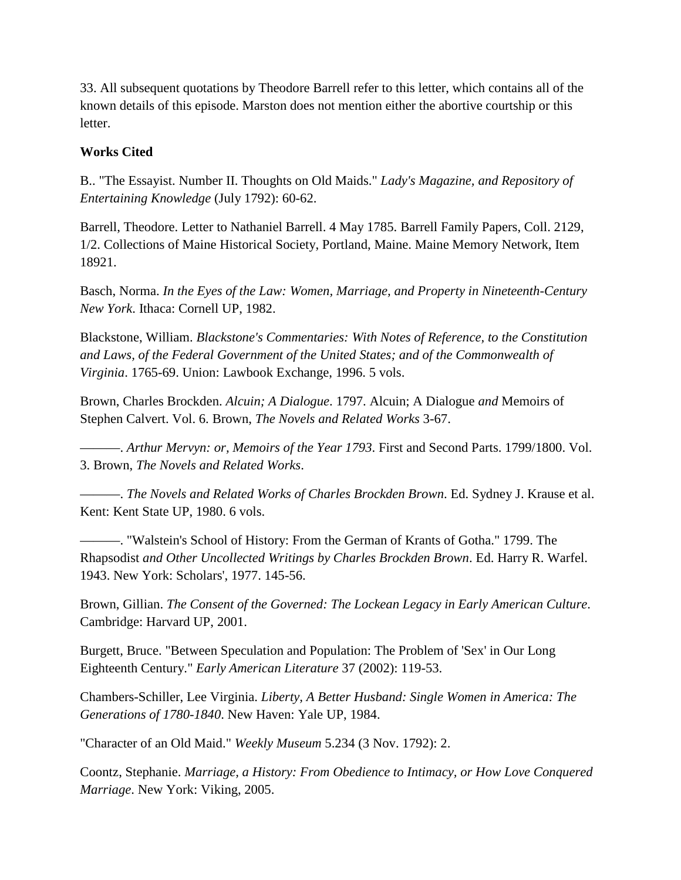33. All subsequent quotations by Theodore Barrell refer to this letter, which contains all of the known details of this episode. Marston does not mention either the abortive courtship or this letter.

## **Works Cited**

B.. "The Essayist. Number II. Thoughts on Old Maids." *Lady's Magazine, and Repository of Entertaining Knowledge* (July 1792): 60-62.

Barrell, Theodore. Letter to Nathaniel Barrell. 4 May 1785. Barrell Family Papers, Coll. 2129, 1/2. Collections of Maine Historical Society, Portland, Maine. Maine Memory Network, Item 18921.

Basch, Norma. *In the Eyes of the Law: Women, Marriage, and Property in Nineteenth-Century New York*. Ithaca: Cornell UP, 1982.

Blackstone, William. *Blackstone's Commentaries: With Notes of Reference, to the Constitution and Laws, of the Federal Government of the United States; and of the Commonwealth of Virginia*. 1765-69. Union: Lawbook Exchange, 1996. 5 vols.

Brown, Charles Brockden. *Alcuin; A Dialogue*. 1797. Alcuin; A Dialogue *and* Memoirs of Stephen Calvert. Vol. 6. Brown, *The Novels and Related Works* 3-67.

———. *Arthur Mervyn: or, Memoirs of the Year 1793*. First and Second Parts. 1799/1800. Vol. 3. Brown, *The Novels and Related Works*.

———. *The Novels and Related Works of Charles Brockden Brown*. Ed. Sydney J. Krause et al. Kent: Kent State UP, 1980. 6 vols.

———. "Walstein's School of History: From the German of Krants of Gotha." 1799. The Rhapsodist *and Other Uncollected Writings by Charles Brockden Brown*. Ed. Harry R. Warfel. 1943. New York: Scholars', 1977. 145-56.

Brown, Gillian. *The Consent of the Governed: The Lockean Legacy in Early American Culture*. Cambridge: Harvard UP, 2001.

Burgett, Bruce. "Between Speculation and Population: The Problem of 'Sex' in Our Long Eighteenth Century." *Early American Literature* 37 (2002): 119-53.

Chambers-Schiller, Lee Virginia. *Liberty, A Better Husband: Single Women in America: The Generations of 1780-1840*. New Haven: Yale UP, 1984.

"Character of an Old Maid." *Weekly Museum* 5.234 (3 Nov. 1792): 2.

Coontz, Stephanie. *Marriage, a History: From Obedience to Intimacy, or How Love Conquered Marriage*. New York: Viking, 2005.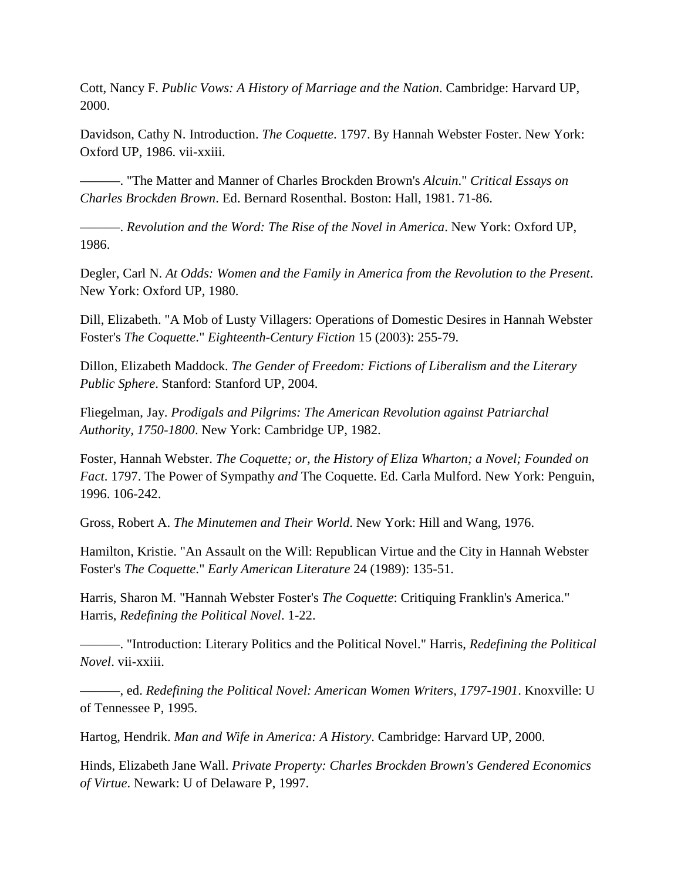Cott, Nancy F. *Public Vows: A History of Marriage and the Nation*. Cambridge: Harvard UP, 2000.

Davidson, Cathy N. Introduction. *The Coquette*. 1797. By Hannah Webster Foster. New York: Oxford UP, 1986. vii-xxiii.

———. "The Matter and Manner of Charles Brockden Brown's *Alcuin*." *Critical Essays on Charles Brockden Brown*. Ed. Bernard Rosenthal. Boston: Hall, 1981. 71-86.

———. *Revolution and the Word: The Rise of the Novel in America*. New York: Oxford UP, 1986.

Degler, Carl N. *At Odds: Women and the Family in America from the Revolution to the Present*. New York: Oxford UP, 1980.

Dill, Elizabeth. "A Mob of Lusty Villagers: Operations of Domestic Desires in Hannah Webster Foster's *The Coquette*." *Eighteenth-Century Fiction* 15 (2003): 255-79.

Dillon, Elizabeth Maddock. *The Gender of Freedom: Fictions of Liberalism and the Literary Public Sphere*. Stanford: Stanford UP, 2004.

Fliegelman, Jay. *Prodigals and Pilgrims: The American Revolution against Patriarchal Authority, 1750-1800*. New York: Cambridge UP, 1982.

Foster, Hannah Webster. *The Coquette; or, the History of Eliza Wharton; a Novel; Founded on Fact*. 1797. The Power of Sympathy *and* The Coquette. Ed. Carla Mulford. New York: Penguin, 1996. 106-242.

Gross, Robert A. *The Minutemen and Their World*. New York: Hill and Wang, 1976.

Hamilton, Kristie. "An Assault on the Will: Republican Virtue and the City in Hannah Webster Foster's *The Coquette*." *Early American Literature* 24 (1989): 135-51.

Harris, Sharon M. "Hannah Webster Foster's *The Coquette*: Critiquing Franklin's America." Harris, *Redefining the Political Novel*. 1-22.

———. "Introduction: Literary Politics and the Political Novel." Harris, *Redefining the Political Novel*. vii-xxiii.

———, ed. *Redefining the Political Novel: American Women Writers, 1797-1901*. Knoxville: U of Tennessee P, 1995.

Hartog, Hendrik. *Man and Wife in America: A History*. Cambridge: Harvard UP, 2000.

Hinds, Elizabeth Jane Wall. *Private Property: Charles Brockden Brown's Gendered Economics of Virtue*. Newark: U of Delaware P, 1997.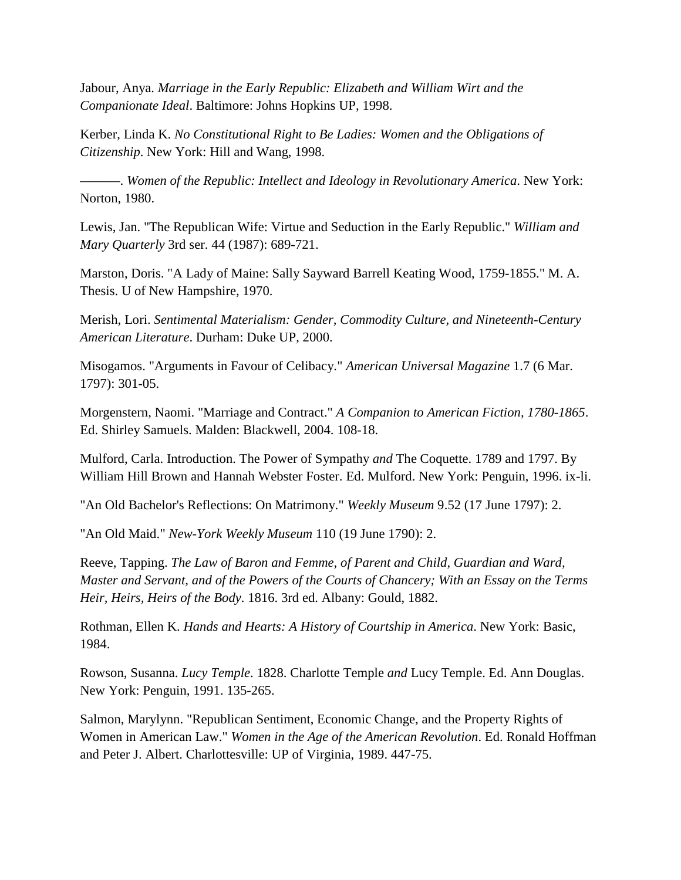Jabour, Anya. *Marriage in the Early Republic: Elizabeth and William Wirt and the Companionate Ideal*. Baltimore: Johns Hopkins UP, 1998.

Kerber, Linda K. *No Constitutional Right to Be Ladies: Women and the Obligations of Citizenship*. New York: Hill and Wang, 1998.

———. *Women of the Republic: Intellect and Ideology in Revolutionary America*. New York: Norton, 1980.

Lewis, Jan. "The Republican Wife: Virtue and Seduction in the Early Republic." *William and Mary Quarterly* 3rd ser. 44 (1987): 689-721.

Marston, Doris. "A Lady of Maine: Sally Sayward Barrell Keating Wood, 1759-1855." M. A. Thesis. U of New Hampshire, 1970.

Merish, Lori. *Sentimental Materialism: Gender, Commodity Culture, and Nineteenth-Century American Literature*. Durham: Duke UP, 2000.

Misogamos. "Arguments in Favour of Celibacy." *American Universal Magazine* 1.7 (6 Mar. 1797): 301-05.

Morgenstern, Naomi. "Marriage and Contract." *A Companion to American Fiction, 1780-1865*. Ed. Shirley Samuels. Malden: Blackwell, 2004. 108-18.

Mulford, Carla. Introduction. The Power of Sympathy *and* The Coquette. 1789 and 1797. By William Hill Brown and Hannah Webster Foster. Ed. Mulford. New York: Penguin, 1996. ix-li.

"An Old Bachelor's Reflections: On Matrimony." *Weekly Museum* 9.52 (17 June 1797): 2.

"An Old Maid." *New-York Weekly Museum* 110 (19 June 1790): 2.

Reeve, Tapping. *The Law of Baron and Femme, of Parent and Child, Guardian and Ward, Master and Servant, and of the Powers of the Courts of Chancery; With an Essay on the Terms Heir, Heirs, Heirs of the Body*. 1816. 3rd ed. Albany: Gould, 1882.

Rothman, Ellen K. *Hands and Hearts: A History of Courtship in America*. New York: Basic, 1984.

Rowson, Susanna. *Lucy Temple*. 1828. Charlotte Temple *and* Lucy Temple. Ed. Ann Douglas. New York: Penguin, 1991. 135-265.

Salmon, Marylynn. "Republican Sentiment, Economic Change, and the Property Rights of Women in American Law." *Women in the Age of the American Revolution*. Ed. Ronald Hoffman and Peter J. Albert. Charlottesville: UP of Virginia, 1989. 447-75.